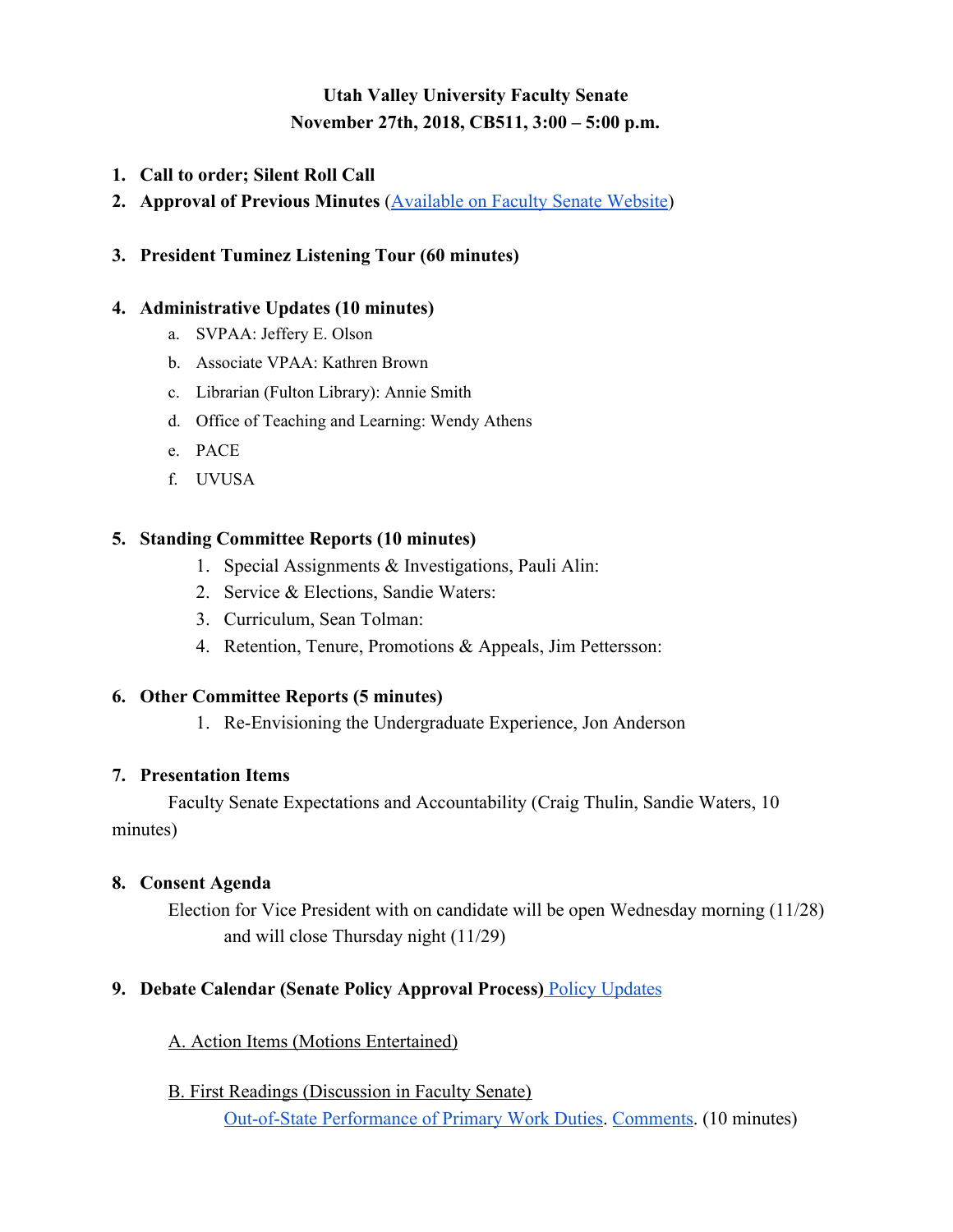# **Utah Valley University Faculty Senate November 27th, 2018, CB511, 3:00 – 5:00 p.m.**

- **1. Call to order; Silent Roll Call**
- **2. Approval of Previous Minutes** [\(Available on Faculty Senate Website](https://www.uvu.edu/facsenate/minutes.html))

# **3. President Tuminez Listening Tour (60 minutes)**

## **4. Administrative Updates (10 minutes)**

- a. SVPAA: Jeffery E. Olson
- b. Associate VPAA: Kathren Brown
- c. Librarian (Fulton Library): Annie Smith
- d. Office of Teaching and Learning: Wendy Athens
- e. PACE
- f. UVUSA

# **5. Standing Committee Reports (10 minutes)**

- 1. Special Assignments & Investigations, Pauli Alin:
- 2. Service & Elections, Sandie Waters:
- 3. Curriculum, Sean Tolman:
- 4. Retention, Tenure, Promotions & Appeals, Jim Pettersson:

## **6. Other Committee Reports (5 minutes)**

1. Re-Envisioning the Undergraduate Experience, Jon Anderson

# **7. Presentation Items**

Faculty Senate Expectations and Accountability (Craig Thulin, Sandie Waters, 10 minutes)

## **8. Consent Agenda**

Election for Vice President with on candidate will be open Wednesday morning (11/28) and will close Thursday night (11/29)

# **9. Debate Calendar (Senate Policy Approval Process)** [Policy Updates](https://docs.google.com/spreadsheets/d/1ogUOTkybP9_EBAc8SQE8kPQCDdWt1J8k9rRKaPPWX5Y/edit#gid=0)

## A. Action Items (Motions Entertained)

B. First Readings (Discussion in Faculty Senate)

[Out-of-State Performance of Primary Work Duties.](https://www.uvu.edu/policies/docs/out-of-state_performance_of_work_duties_11-15-2018.pdf) [Comments.](https://docs.google.com/document/d/1eoWGXw6xwZt6TOdM8ABrar5CfbzwXYUeUj22KJpMPMY/edit?usp=sharing) (10 minutes)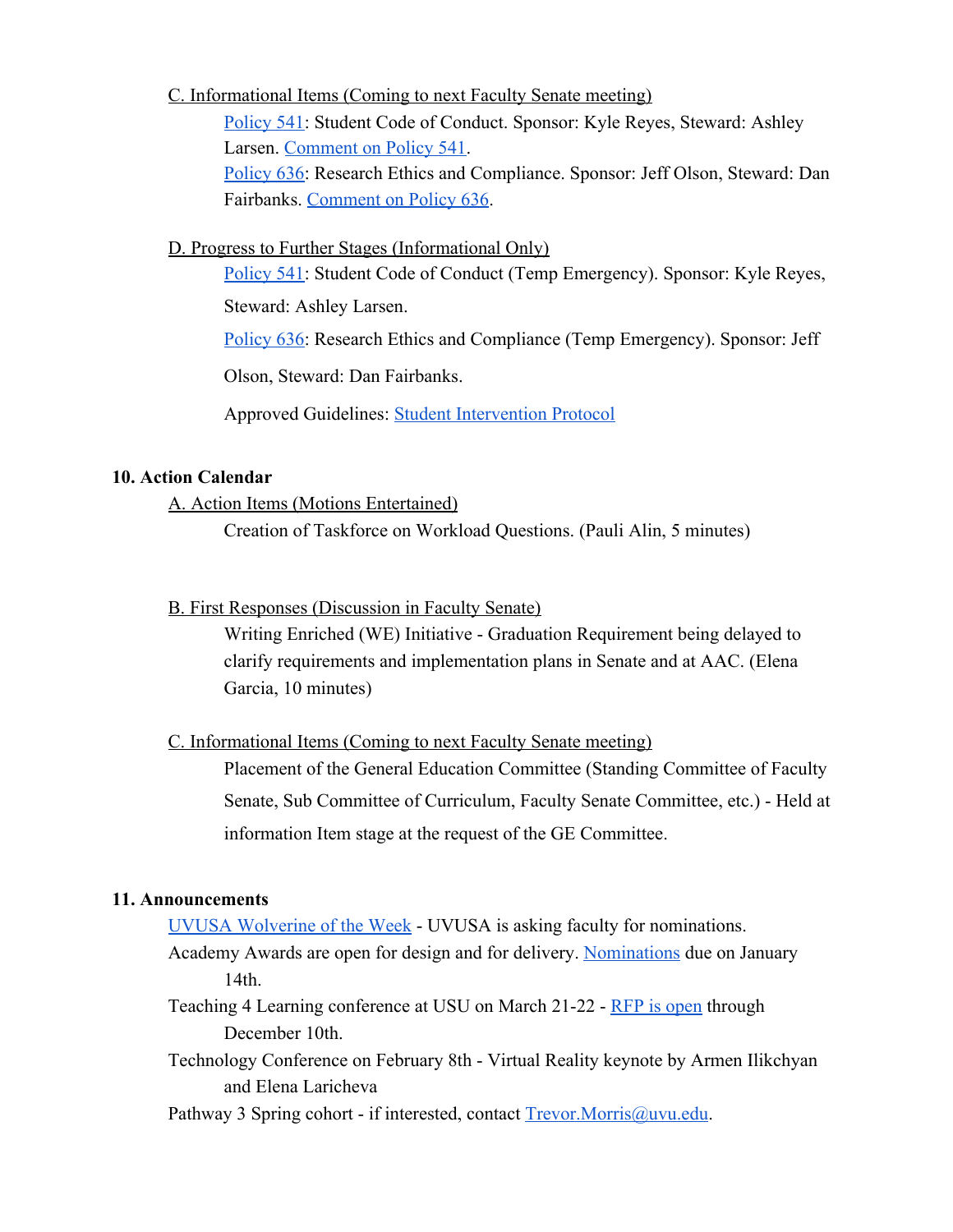#### C. Informational Items (Coming to next Faculty Senate meeting)

[Policy 541:](https://policy.uvu.edu/getDisplayFile/5750db2e97e4c89872d95648) Student Code of Conduct. Sponsor: Kyle Reyes, Steward: Ashley Larsen. [Comment on Policy 541.](https://docs.google.com/document/d/1U8MSgP9wmIEG70U1e1K3bDMT6i1yUIy20QEeOh27x0g/edit?usp=sharing)

[Policy 636:](https://policy.uvu.edu/getDisplayFile/5750db2e97e4c89872d95648) Research Ethics and Compliance. Sponsor: Jeff Olson, Steward: Dan Fairbanks. [Comment on Policy 636](https://docs.google.com/document/d/1LTVREy-ASzFYr6xzc2GR2o4jICiJieIOVUi2eEPmT4U/edit?usp=sharing).

#### D. Progress to Further Stages (Informational Only)

[Policy 541:](https://policy.uvu.edu/getDisplayFile/5bedd0ef7b23736d542192e3) Student Code of Conduct (Temp Emergency). Sponsor: Kyle Reyes,

Steward: Ashley Larsen.

[Policy 636:](https://policy.uvu.edu/getDisplayFile/5bedd2467b23736d542192e4) Research Ethics and Compliance (Temp Emergency). Sponsor: Jeff

Olson, Steward: Dan Fairbanks.

Approved Guidelines: [Student Intervention Protocol](https://www.uvu.edu/policies/docs/uvu_student_safety_intervention_protocol_11-15-2018.pdf)

#### **10. Action Calendar**

#### A. Action Items (Motions Entertained)

Creation of Taskforce on Workload Questions. (Pauli Alin, 5 minutes)

#### B. First Responses (Discussion in Faculty Senate)

Writing Enriched (WE) Initiative - Graduation Requirement being delayed to clarify requirements and implementation plans in Senate and at AAC. (Elena Garcia, 10 minutes)

## C. Informational Items (Coming to next Faculty Senate meeting)

Placement of the General Education Committee (Standing Committee of Faculty Senate, Sub Committee of Curriculum, Faculty Senate Committee, etc.) - Held at information Item stage at the request of the GE Committee.

#### **11. Announcements**

[UVUSA Wolverine of the Week](http://bit.ly/wolverineofweek) - UVUSA is asking faculty for nominations.

- Academy Awards are open for design and for delivery. [Nominations](https://www.uvu.edu/otl/faculty/otlacademyawards.html) due on January 14th.
- Teaching 4 Learning conference at USU on March 21-22 - [RFP is open](https://empowerteaching.usu.edu/conferences/T4L2019) through December 10th.
- Technology Conference on February 8th Virtual Reality keynote by Armen Ilikchyan and Elena Laricheva

Pathway 3 Spring cohort - if interested, contact [Trevor.Morris@uvu.edu](mailto:Trevor.Morris@uvu.edu).